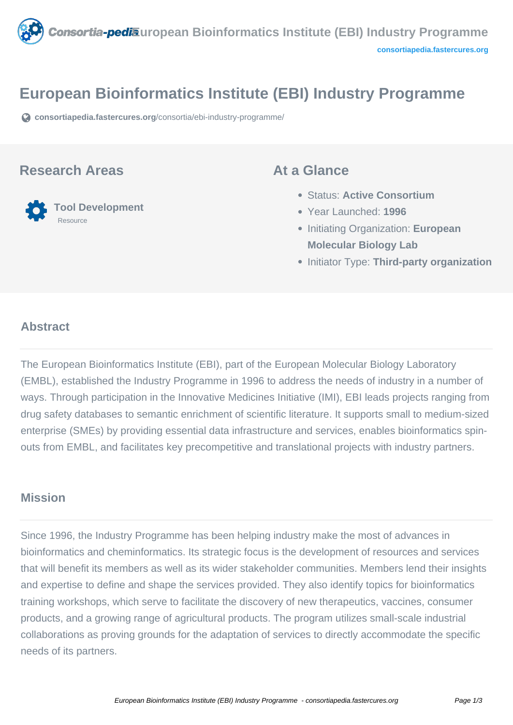

# **European Bioinformatics Institute (EBI) Industry Programme**

**[consortiapedia.fastercures.org](https://consortiapedia.fastercures.org/consortia/ebi-industry-programme/)**[/consortia/ebi-industry-programme/](https://consortiapedia.fastercures.org/consortia/ebi-industry-programme/)

### **Research Areas**



### **At a Glance**

- Status: **Active Consortium**
- Year Launched: **1996**
- **Initiating Organization: European Molecular Biology Lab**
- **Initiator Type: Third-party organization**

#### $\overline{\phantom{a}}$ **Abstract**

The European Bioinformatics Institute (EBI), part of the European Molecular Biology Laboratory (EMBL), established the Industry Programme in 1996 to address the needs of industry in a number of ways. Through participation in the Innovative Medicines Initiative (IMI), EBI leads projects ranging from drug safety databases to semantic enrichment of scientific literature. It supports small to medium-sized enterprise (SMEs) by providing essential data infrastructure and services, enables bioinformatics spinouts from EMBL, and facilitates key precompetitive and translational projects with industry partners.

## **Mission**

Since 1996, the Industry Programme has been helping industry make the most of advances in bioinformatics and cheminformatics. Its strategic focus is the development of resources and services that will benefit its members as well as its wider stakeholder communities. Members lend their insights and expertise to define and shape the services provided. They also identify topics for bioinformatics training workshops, which serve to facilitate the discovery of new therapeutics, vaccines, consumer products, and a growing range of agricultural products. The program utilizes small-scale industrial collaborations as proving grounds for the adaptation of services to directly accommodate the specific needs of its partners.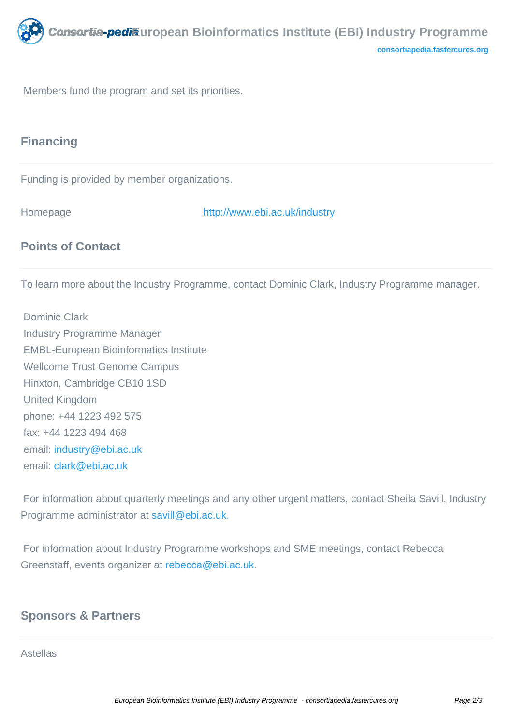

Members fund the program and set its priorities.

# **Financing**

Funding is provided by member organizations.

Homepage <http://www.ebi.ac.uk/industry>

# **Points of Contact**

To learn more about the Industry Programme, contact Dominic Clark, Industry Programme manager.

 Dominic Clark Industry Programme Manager EMBL-European Bioinformatics Institute Wellcome Trust Genome Campus Hinxton, Cambridge CB10 1SD United Kingdom phone: +44 1223 492 575 fax: +44 1223 494 468 email: [industry@ebi.ac.uk](mailto:industry@ebi.ac.uk) email: [clark@ebi.ac.uk](mailto:clark@ebi.ac.uk)

 For information about quarterly meetings and any other urgent matters, contact Sheila Savill, Industry Programme administrator at [savill@ebi.ac.uk.](mailto:savill@ebi.ac.uk)

 For information about Industry Programme workshops and SME meetings, contact Rebecca Greenstaff, events organizer at [rebecca@ebi.ac.uk.](mailto:rebecca@ebi.ac.uk)

## **Sponsors & Partners**

Astellas